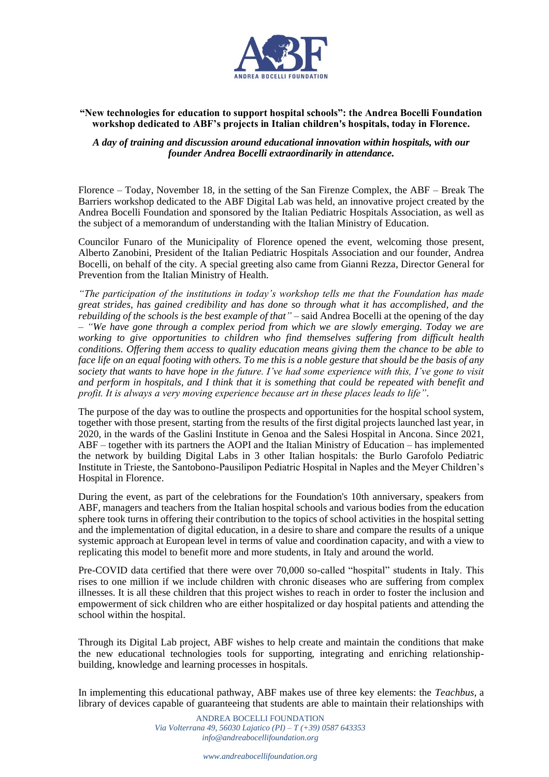

## **"New technologies for education to support hospital schools": the Andrea Bocelli Foundation workshop dedicated to ABF's projects in Italian children's hospitals, today in Florence.**

## *A day of training and discussion around educational innovation within hospitals, with our founder Andrea Bocelli extraordinarily in attendance.*

Florence – Today, November 18, in the setting of the San Firenze Complex, the ABF – Break The Barriers workshop dedicated to the ABF Digital Lab was held, an innovative project created by the Andrea Bocelli Foundation and sponsored by the Italian Pediatric Hospitals Association, as well as the subject of a memorandum of understanding with the Italian Ministry of Education.

Councilor Funaro of the Municipality of Florence opened the event, welcoming those present, Alberto Zanobini, President of the Italian Pediatric Hospitals Association and our founder, Andrea Bocelli, on behalf of the city. A special greeting also came from Gianni Rezza, Director General for Prevention from the Italian Ministry of Health.

*"The participation of the institutions in today's workshop tells me that the Foundation has made great strides, has gained credibility and has done so through what it has accomplished, and the rebuilding of the schools is the best example of that" –* said Andrea Bocelli at the opening of the day *– "We have gone through a complex period from which we are slowly emerging. Today we are working to give opportunities to children who find themselves suffering from difficult health conditions. Offering them access to quality education means giving them the chance to be able to face life on an equal footing with others. To me this is a noble gesture that should be the basis of any society that wants to have hope in the future. I've had some experience with this, I've gone to visit and perform in hospitals, and I think that it is something that could be repeated with benefit and profit. It is always a very moving experience because art in these places leads to life".*

The purpose of the day was to outline the prospects and opportunities for the hospital school system, together with those present, starting from the results of the first digital projects launched last year, in 2020, in the wards of the Gaslini Institute in Genoa and the Salesi Hospital in Ancona. Since 2021, ABF – together with its partners the AOPI and the Italian Ministry of Education – has implemented the network by building Digital Labs in 3 other Italian hospitals: the Burlo Garofolo Pediatric Institute in Trieste, the Santobono-Pausilipon Pediatric Hospital in Naples and the Meyer Children's Hospital in Florence.

During the event, as part of the celebrations for the Foundation's 10th anniversary, speakers from ABF, managers and teachers from the Italian hospital schools and various bodies from the education sphere took turns in offering their contribution to the topics of school activities in the hospital setting and the implementation of digital education, in a desire to share and compare the results of a unique systemic approach at European level in terms of value and coordination capacity, and with a view to replicating this model to benefit more and more students, in Italy and around the world.

Pre-COVID data certified that there were over 70,000 so-called "hospital" students in Italy. This rises to one million if we include children with chronic diseases who are suffering from complex illnesses. It is all these children that this project wishes to reach in order to foster the inclusion and empowerment of sick children who are either hospitalized or day hospital patients and attending the school within the hospital.

Through its Digital Lab project, ABF wishes to help create and maintain the conditions that make the new educational technologies tools for supporting, integrating and enriching relationshipbuilding, knowledge and learning processes in hospitals.

In implementing this educational pathway, ABF makes use of three key elements: the *Teachbus*, a library of devices capable of guaranteeing that students are able to maintain their relationships with

> ANDREA BOCELLI FOUNDATION *Via Volterrana 49, 56030 Lajatico (PI) – T (+39) 0587 643353 info@andreabocellifoundation.org*